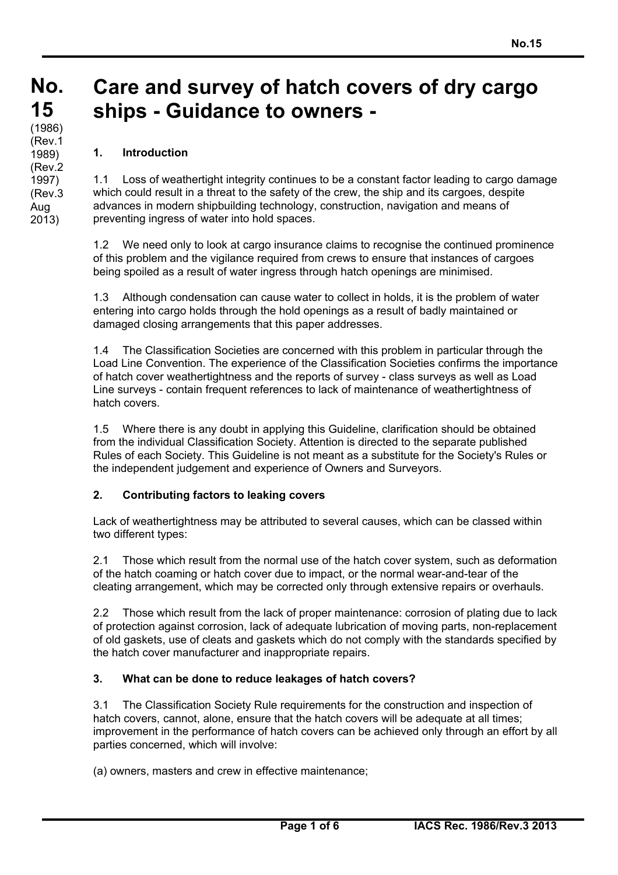#### **No. No. 15 15**  $(1986)$ **Care and survey of hatch covers of dry cargo ships - Guidance to owners -**

# **1. Introduction**

(Rev.1 1989) (Rev.2 1997) (Rev.3 Aug 2013)

1.1 Loss of weathertight integrity continues to be a constant factor leading to cargo damage which could result in a threat to the safety of the crew, the ship and its cargoes, despite advances in modern shipbuilding technology, construction, navigation and means of preventing ingress of water into hold spaces.

1.2 We need only to look at cargo insurance claims to recognise the continued prominence of this problem and the vigilance required from crews to ensure that instances of cargoes being spoiled as a result of water ingress through hatch openings are minimised.

1.3 Although condensation can cause water to collect in holds, it is the problem of water entering into cargo holds through the hold openings as a result of badly maintained or damaged closing arrangements that this paper addresses.

1.4 The Classification Societies are concerned with this problem in particular through the Load Line Convention. The experience of the Classification Societies confirms the importance of hatch cover weathertightness and the reports of survey - class surveys as well as Load Line surveys - contain frequent references to lack of maintenance of weathertightness of hatch covers.

1.5 Where there is any doubt in applying this Guideline, clarification should be obtained from the individual Classification Society. Attention is directed to the separate published Rules of each Society. This Guideline is not meant as a substitute for the Society's Rules or the independent judgement and experience of Owners and Surveyors.

# **2. Contributing factors to leaking covers**

Lack of weathertightness may be attributed to several causes, which can be classed within two different types:

2.1 Those which result from the normal use of the hatch cover system, such as deformation of the hatch coaming or hatch cover due to impact, or the normal wear-and-tear of the cleating arrangement, which may be corrected only through extensive repairs or overhauls.

2.2 Those which result from the lack of proper maintenance: corrosion of plating due to lack of protection against corrosion, lack of adequate lubrication of moving parts, non-replacement of old gaskets, use of cleats and gaskets which do not comply with the standards specified by the hatch cover manufacturer and inappropriate repairs.

# **3. What can be done to reduce leakages of hatch covers?**

3.1 The Classification Society Rule requirements for the construction and inspection of hatch covers, cannot, alone, ensure that the hatch covers will be adequate at all times; improvement in the performance of hatch covers can be achieved only through an effort by all parties concerned, which will involve:

(a) owners, masters and crew in effective maintenance;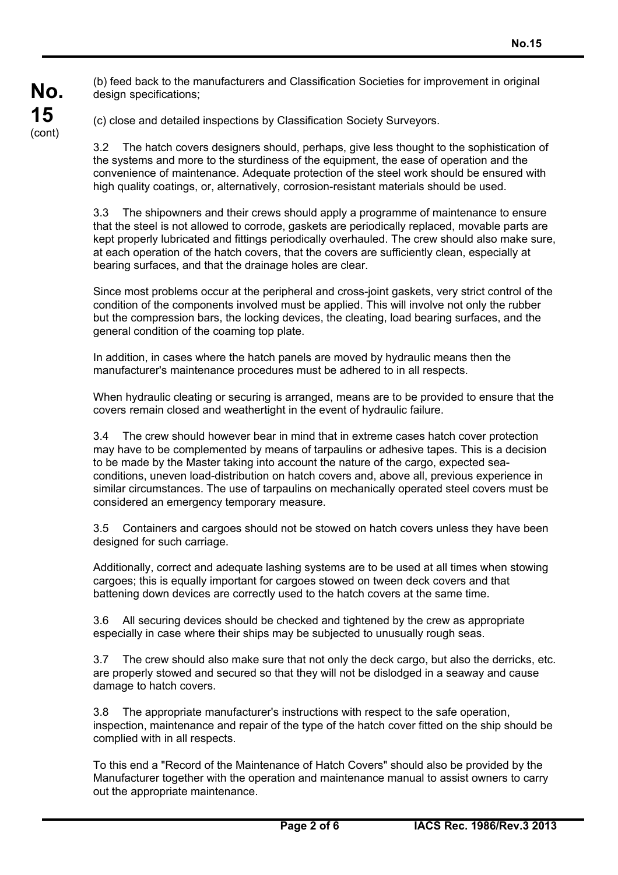(b) feed back to the manufacturers and Classification Societies for improvement in original design specifications:

(c) close and detailed inspections by Classification Society Surveyors.

3.2 The hatch covers designers should, perhaps, give less thought to the sophistication of the systems and more to the sturdiness of the equipment, the ease of operation and the convenience of maintenance. Adequate protection of the steel work should be ensured with high quality coatings, or, alternatively, corrosion-resistant materials should be used.

3.3 The shipowners and their crews should apply a programme of maintenance to ensure that the steel is not allowed to corrode, gaskets are periodically replaced, movable parts are kept properly lubricated and fittings periodically overhauled. The crew should also make sure, at each operation of the hatch covers, that the covers are sufficiently clean, especially at bearing surfaces, and that the drainage holes are clear.

Since most problems occur at the peripheral and cross-joint gaskets, very strict control of the condition of the components involved must be applied. This will involve not only the rubber but the compression bars, the locking devices, the cleating, load bearing surfaces, and the general condition of the coaming top plate.

In addition, in cases where the hatch panels are moved by hydraulic means then the manufacturer's maintenance procedures must be adhered to in all respects.

When hydraulic cleating or securing is arranged, means are to be provided to ensure that the covers remain closed and weathertight in the event of hydraulic failure.

3.4 The crew should however bear in mind that in extreme cases hatch cover protection may have to be complemented by means of tarpaulins or adhesive tapes. This is a decision to be made by the Master taking into account the nature of the cargo, expected seaconditions, uneven load-distribution on hatch covers and, above all, previous experience in similar circumstances. The use of tarpaulins on mechanically operated steel covers must be considered an emergency temporary measure.

3.5 Containers and cargoes should not be stowed on hatch covers unless they have been designed for such carriage.

Additionally, correct and adequate lashing systems are to be used at all times when stowing cargoes; this is equally important for cargoes stowed on tween deck covers and that battening down devices are correctly used to the hatch covers at the same time.

3.6 All securing devices should be checked and tightened by the crew as appropriate especially in case where their ships may be subjected to unusually rough seas.

3.7 The crew should also make sure that not only the deck cargo, but also the derricks, etc. are properly stowed and secured so that they will not be dislodged in a seaway and cause damage to hatch covers.

3.8 The appropriate manufacturer's instructions with respect to the safe operation, inspection, maintenance and repair of the type of the hatch cover fitted on the ship should be complied with in all respects.

To this end a "Record of the Maintenance of Hatch Covers" should also be provided by the Manufacturer together with the operation and maintenance manual to assist owners to carry out the appropriate maintenance.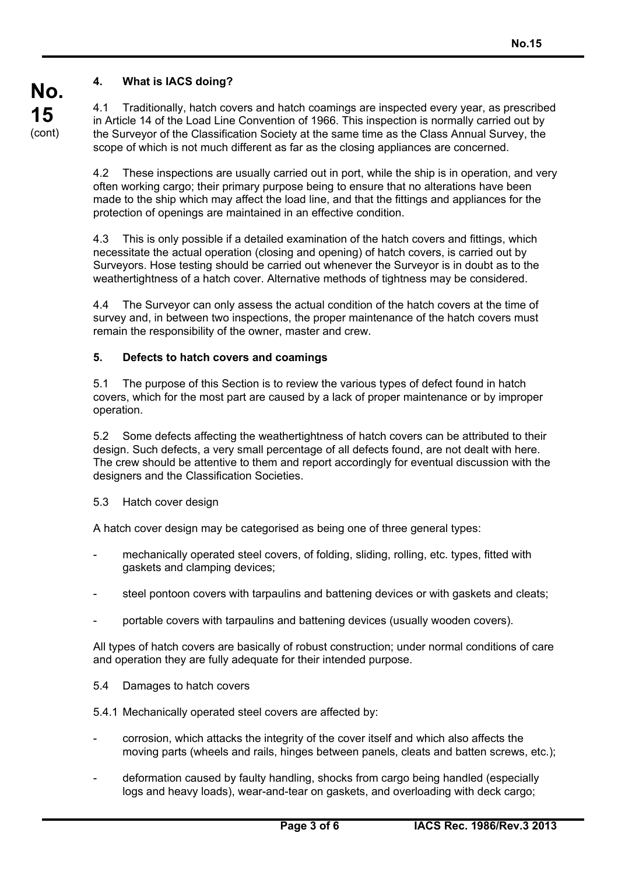# **4. What is IACS doing?**

4.1 Traditionally, hatch covers and hatch coamings are inspected every year, as prescribed in Article 14 of the Load Line Convention of 1966. This inspection is normally carried out by the Surveyor of the Classification Society at the same time as the Class Annual Survey, the scope of which is not much different as far as the closing appliances are concerned.

4.2 These inspections are usually carried out in port, while the ship is in operation, and very often working cargo; their primary purpose being to ensure that no alterations have been made to the ship which may affect the load line, and that the fittings and appliances for the protection of openings are maintained in an effective condition.

4.3 This is only possible if a detailed examination of the hatch covers and fittings, which necessitate the actual operation (closing and opening) of hatch covers, is carried out by Surveyors. Hose testing should be carried out whenever the Surveyor is in doubt as to the weathertightness of a hatch cover. Alternative methods of tightness may be considered.

4.4 The Surveyor can only assess the actual condition of the hatch covers at the time of survey and, in between two inspections, the proper maintenance of the hatch covers must remain the responsibility of the owner, master and crew.

### **5. Defects to hatch covers and coamings**

5.1 The purpose of this Section is to review the various types of defect found in hatch covers, which for the most part are caused by a lack of proper maintenance or by improper operation.

5.2 Some defects affecting the weathertightness of hatch covers can be attributed to their design. Such defects, a very small percentage of all defects found, are not dealt with here. The crew should be attentive to them and report accordingly for eventual discussion with the designers and the Classification Societies.

5.3 Hatch cover design

A hatch cover design may be categorised as being one of three general types:

- mechanically operated steel covers, of folding, sliding, rolling, etc. types, fitted with gaskets and clamping devices;
- steel pontoon covers with tarpaulins and battening devices or with gaskets and cleats;
- portable covers with tarpaulins and battening devices (usually wooden covers).

All types of hatch covers are basically of robust construction; under normal conditions of care and operation they are fully adequate for their intended purpose.

5.4 Damages to hatch covers

5.4.1 Mechanically operated steel covers are affected by:

- corrosion, which attacks the integrity of the cover itself and which also affects the moving parts (wheels and rails, hinges between panels, cleats and batten screws, etc.);
- deformation caused by faulty handling, shocks from cargo being handled (especially logs and heavy loads), wear-and-tear on gaskets, and overloading with deck cargo;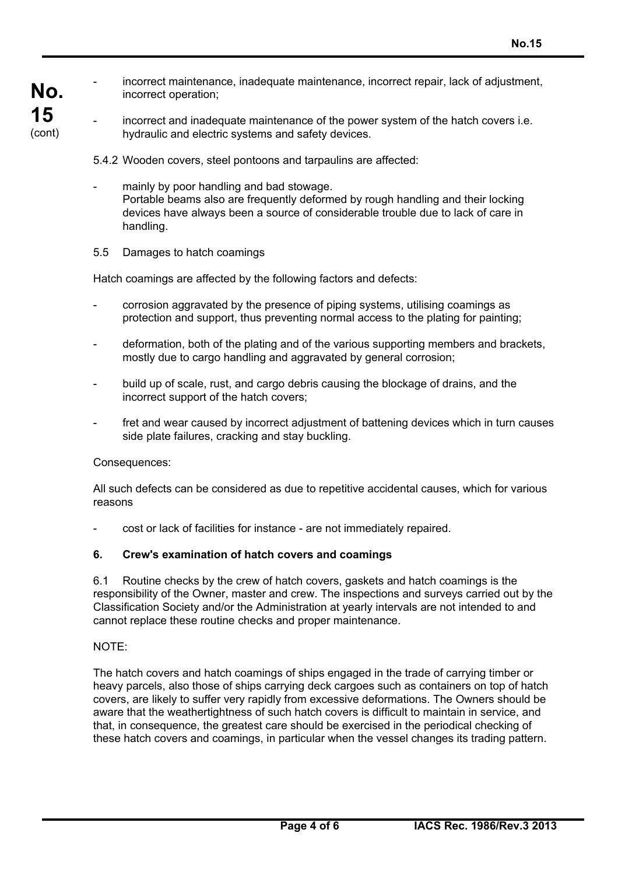**No. 15** (cont)

incorrect operation;

incorrect maintenance, inadequate maintenance, incorrect repair, lack of adjustment,

incorrect and inadequate maintenance of the power system of the hatch covers i.e. hydraulic and electric systems and safety devices.

5.4.2 Wooden covers, steel pontoons and tarpaulins are affected:

mainly by poor handling and bad stowage. Portable beams also are frequently deformed by rough handling and their locking devices have always been a source of considerable trouble due to lack of care in handling.

## 5.5 Damages to hatch coamings

Hatch coamings are affected by the following factors and defects:

- corrosion aggravated by the presence of piping systems, utilising coamings as protection and support, thus preventing normal access to the plating for painting;
- deformation, both of the plating and of the various supporting members and brackets, mostly due to cargo handling and aggravated by general corrosion;
- build up of scale, rust, and cargo debris causing the blockage of drains, and the incorrect support of the hatch covers;
- fret and wear caused by incorrect adjustment of battening devices which in turn causes side plate failures, cracking and stay buckling.

### Consequences:

All such defects can be considered as due to repetitive accidental causes, which for various reasons

- cost or lack of facilities for instance - are not immediately repaired.

## **6. Crew's examination of hatch covers and coamings**

6.1 Routine checks by the crew of hatch covers, gaskets and hatch coamings is the responsibility of the Owner, master and crew. The inspections and surveys carried out by the Classification Society and/or the Administration at yearly intervals are not intended to and cannot replace these routine checks and proper maintenance.

### NOTE:

The hatch covers and hatch coamings of ships engaged in the trade of carrying timber or heavy parcels, also those of ships carrying deck cargoes such as containers on top of hatch covers, are likely to suffer very rapidly from excessive deformations. The Owners should be aware that the weathertightness of such hatch covers is difficult to maintain in service, and that, in consequence, the greatest care should be exercised in the periodical checking of these hatch covers and coamings, in particular when the vessel changes its trading pattern.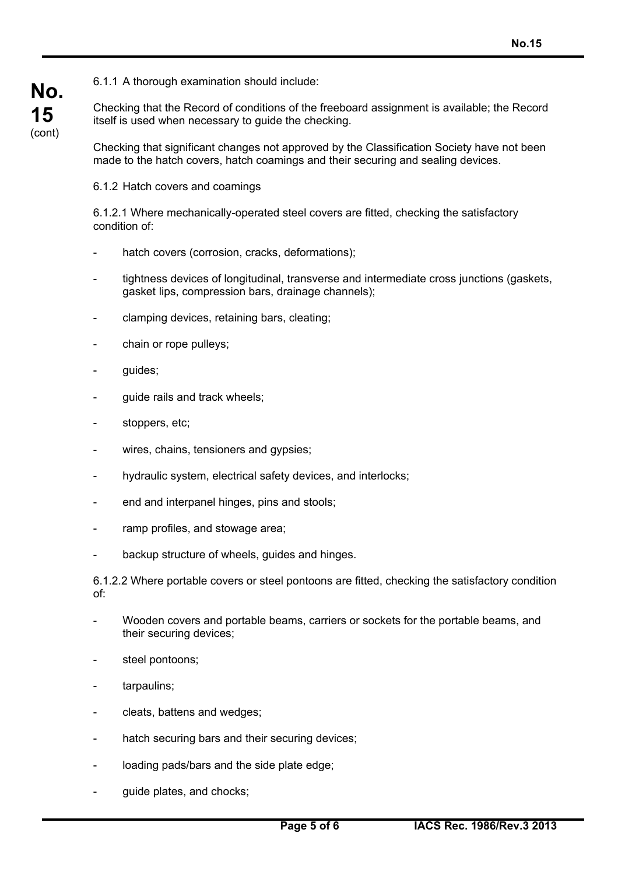6.1.1 A thorough examination should include:

Checking that the Record of conditions of the freeboard assignment is available; the Record itself is used when necessary to guide the checking.

Checking that significant changes not approved by the Classification Society have not been made to the hatch covers, hatch coamings and their securing and sealing devices.

6.1.2 Hatch covers and coamings

6.1.2.1 Where mechanically-operated steel covers are fitted, checking the satisfactory condition of:

- hatch covers (corrosion, cracks, deformations);
- tightness devices of longitudinal, transverse and intermediate cross junctions (gaskets, gasket lips, compression bars, drainage channels);
- clamping devices, retaining bars, cleating;
- chain or rope pulleys;
- quides:

**No.**

**15** (cont)

- quide rails and track wheels:
- stoppers, etc;
- wires, chains, tensioners and gypsies;
- hydraulic system, electrical safety devices, and interlocks;
- end and interpanel hinges, pins and stools;
- ramp profiles, and stowage area;
- backup structure of wheels, guides and hinges.

6.1.2.2 Where portable covers or steel pontoons are fitted, checking the satisfactory condition of:

- Wooden covers and portable beams, carriers or sockets for the portable beams, and their securing devices;
- steel pontoons;
- tarpaulins;
- cleats, battens and wedges;
- hatch securing bars and their securing devices;
- loading pads/bars and the side plate edge;
- guide plates, and chocks;